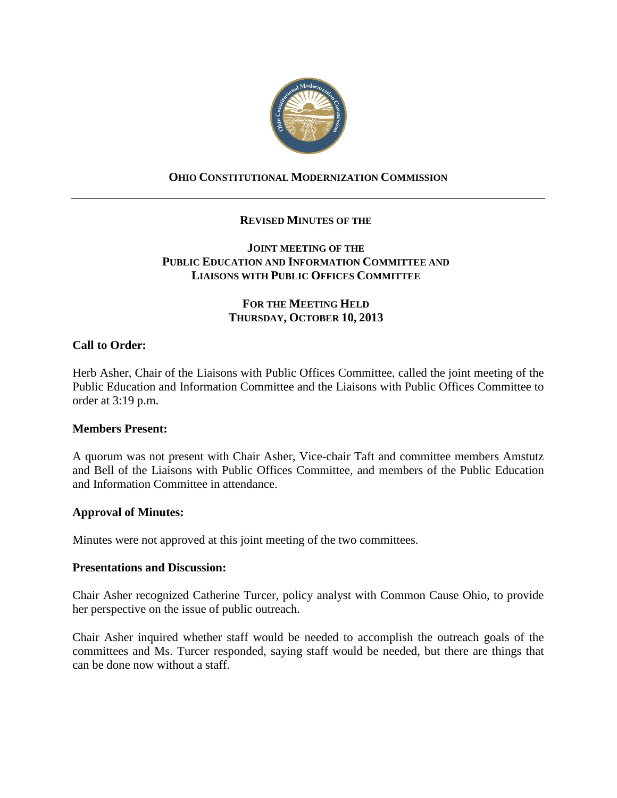

# **OHIO CONSTITUTIONAL MODERNIZATION COMMISSION**

## **REVISED MINUTES OF THE**

## **JOINT MEETING OF THE PUBLIC EDUCATION AND INFORMATION COMMITTEE AND LIAISONS WITH PUBLIC OFFICES COMMITTEE**

## **FOR THE MEETING HELD THURSDAY, OCTOBER 10, 2013**

## **Call to Order:**

Herb Asher, Chair of the Liaisons with Public Offices Committee, called the joint meeting of the Public Education and Information Committee and the Liaisons with Public Offices Committee to order at 3:19 p.m.

#### **Members Present:**

A quorum was not present with Chair Asher, Vice-chair Taft and committee members Amstutz and Bell of the Liaisons with Public Offices Committee, and members of the Public Education and Information Committee in attendance.

## **Approval of Minutes:**

Minutes were not approved at this joint meeting of the two committees.

#### **Presentations and Discussion:**

Chair Asher recognized Catherine Turcer, policy analyst with Common Cause Ohio, to provide her perspective on the issue of public outreach.

Chair Asher inquired whether staff would be needed to accomplish the outreach goals of the committees and Ms. Turcer responded, saying staff would be needed, but there are things that can be done now without a staff.